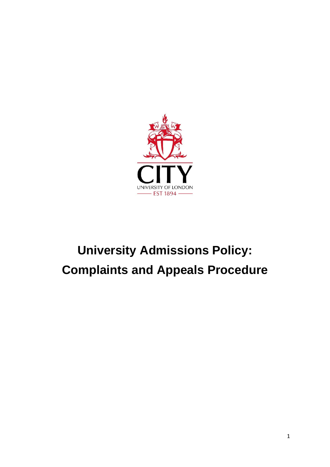

# **University Admissions Policy: Complaints and Appeals Procedure**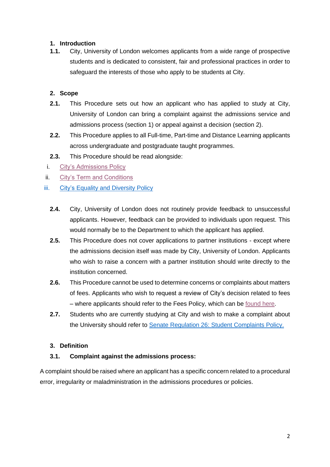### **1. Introduction**

**1.1.** City, University of London welcomes applicants from a wide range of prospective students and is dedicated to consistent, fair and professional practices in order to safeguard the interests of those who apply to be students at City.

### **2. Scope**

- **2.1.** This Procedure sets out how an applicant who has applied to study at City, University of London can bring a complaint against the admissions service and admissions process (section 1) or appeal against a decision (section 2).
- **2.2.** This Procedure applies to all Full-time, Part-time and Distance Learning applicants across undergraduate and postgraduate taught programmes.
- **2.3.** This Procedure should be read alongside:
- i. [City's Admissions Policy](https://www.city.ac.uk/about/education/academic-services/admissions)
- ii. [City's Term and Conditions](http://www.city.ac.uk/terms)
- iii. [City's Equality and Diversity Policy](https://www.city.ac.uk/__data/assets/pdf_file/0008/548333/Equality-diversity-inclusion-DK1g-accessibility-tagged-final.pdf)
	- **2.4.** City, University of London does not routinely provide feedback to unsuccessful applicants. However, feedback can be provided to individuals upon request. This would normally be to the Department to which the applicant has applied.
	- **2.5.** This Procedure does not cover applications to partner institutions except where the admissions decision itself was made by City, University of London. Applicants who wish to raise a concern with a partner institution should write directly to the institution concerned.
	- **2.6.** This Procedure cannot be used to determine concerns or complaints about matters of fees. Applicants who wish to request a review of City's decision related to fees – where applicants should refer to the Fees Policy, which can be [found here.](https://www.city.ac.uk/about/education/academic-services/admissions/fee-assessments)
	- **2.7.** Students who are currently studying at City and wish to make a complaint about the University should refer to [Senate Regulation 26: Student Complaints Policy.](https://www.city.ac.uk/about/governance/policies/student-policies-and-regulations)

#### **3. Definition**

#### **3.1. Complaint against the admissions process:**

A complaint should be raised where an applicant has a specific concern related to a procedural error, irregularity or maladministration in the admissions procedures or policies.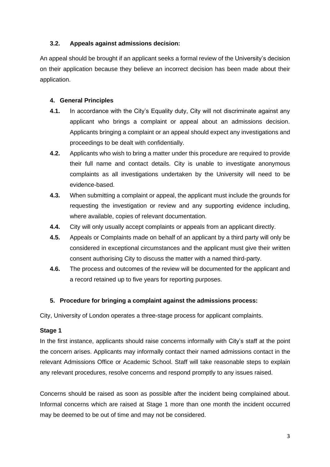## **3.2. Appeals against admissions decision:**

An appeal should be brought if an applicant seeks a formal review of the University's decision on their application because they believe an incorrect decision has been made about their application.

## **4. General Principles**

- **4.1.** In accordance with the City's Equality duty, City will not discriminate against any applicant who brings a complaint or appeal about an admissions decision. Applicants bringing a complaint or an appeal should expect any investigations and proceedings to be dealt with confidentially.
- **4.2.** Applicants who wish to bring a matter under this procedure are required to provide their full name and contact details. City is unable to investigate anonymous complaints as all investigations undertaken by the University will need to be evidence-based.
- **4.3.** When submitting a complaint or appeal, the applicant must include the grounds for requesting the investigation or review and any supporting evidence including, where available, copies of relevant documentation.
- **4.4.** City will only usually accept complaints or appeals from an applicant directly.
- **4.5.** Appeals or Complaints made on behalf of an applicant by a third party will only be considered in exceptional circumstances and the applicant must give their written consent authorising City to discuss the matter with a named third-party.
- **4.6.** The process and outcomes of the review will be documented for the applicant and a record retained up to five years for reporting purposes.

## **5. Procedure for bringing a complaint against the admissions process:**

City, University of London operates a three-stage process for applicant complaints.

## **Stage 1**

In the first instance, applicants should raise concerns informally with City's staff at the point the concern arises. Applicants may informally contact their named admissions contact in the relevant Admissions Office or Academic School. Staff will take reasonable steps to explain any relevant procedures, resolve concerns and respond promptly to any issues raised.

Concerns should be raised as soon as possible after the incident being complained about. Informal concerns which are raised at Stage 1 more than one month the incident occurred may be deemed to be out of time and may not be considered.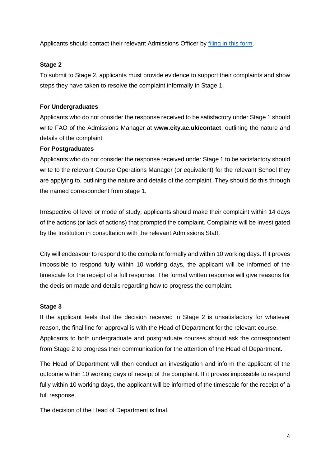Applicants should contact their relevant Admissions Officer by [filing in this form.](https://www.city.ac.uk/about/find-contact/contact)

## **Stage 2**

To submit to Stage 2, applicants must provide evidence to support their complaints and show steps they have taken to resolve the complaint informally in Stage 1.

## **For Undergraduates**

Applicants who do not consider the response received to be satisfactory under Stage 1 should write FAO of the Admissions Manager at **www.city.ac.uk/contact**; outlining the nature and details of the complaint.

#### **For Postgraduates**

Applicants who do not consider the response received under Stage 1 to be satisfactory should write to the relevant Course Operations Manager (or equivalent) for the relevant School they are applying to, outlining the nature and details of the complaint. They should do this through the named correspondent from stage 1.

Irrespective of level or mode of study, applicants should make their complaint within 14 days of the actions (or lack of actions) that prompted the complaint. Complaints will be investigated by the Institution in consultation with the relevant Admissions Staff.

City will endeavour to respond to the complaint formally and within 10 working days. If it proves impossible to respond fully within 10 working days, the applicant will be informed of the timescale for the receipt of a full response. The formal written response will give reasons for the decision made and details regarding how to progress the complaint.

#### **Stage 3**

If the applicant feels that the decision received in Stage 2 is unsatisfactory for whatever reason, the final line for approval is with the Head of Department for the relevant course. Applicants to both undergraduate and postgraduate courses should ask the correspondent from Stage 2 to progress their communication for the attention of the Head of Department.

The Head of Department will then conduct an investigation and inform the applicant of the outcome within 10 working days of receipt of the complaint. If it proves impossible to respond fully within 10 working days, the applicant will be informed of the timescale for the receipt of a full response.

The decision of the Head of Department is final.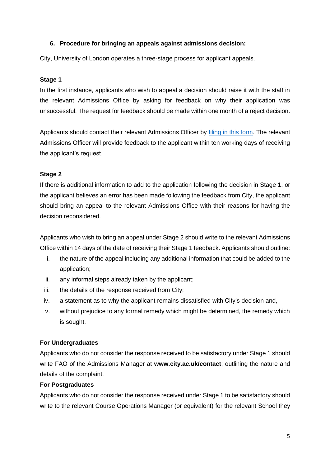### **6. Procedure for bringing an appeals against admissions decision:**

City, University of London operates a three-stage process for applicant appeals.

#### **Stage 1**

In the first instance, applicants who wish to appeal a decision should raise it with the staff in the relevant Admissions Office by asking for feedback on why their application was unsuccessful. The request for feedback should be made within one month of a reject decision.

Applicants should contact their relevant Admissions Officer by [filing in this form.](https://www.city.ac.uk/about/find-contact/contact) The relevant Admissions Officer will provide feedback to the applicant within ten working days of receiving the applicant's request.

#### **Stage 2**

If there is additional information to add to the application following the decision in Stage 1, or the applicant believes an error has been made following the feedback from City, the applicant should bring an appeal to the relevant Admissions Office with their reasons for having the decision reconsidered.

Applicants who wish to bring an appeal under Stage 2 should write to the relevant Admissions Office within 14 days of the date of receiving their Stage 1 feedback. Applicants should outline:

- i. the nature of the appeal including any additional information that could be added to the application;
- ii. any informal steps already taken by the applicant;
- iii. the details of the response received from City;
- iv. a statement as to why the applicant remains dissatisfied with City's decision and,
- v. without prejudice to any formal remedy which might be determined, the remedy which is sought.

#### **For Undergraduates**

Applicants who do not consider the response received to be satisfactory under Stage 1 should write FAO of the Admissions Manager at **www.city.ac.uk/contact**; outlining the nature and details of the complaint.

#### **For Postgraduates**

Applicants who do not consider the response received under Stage 1 to be satisfactory should write to the relevant Course Operations Manager (or equivalent) for the relevant School they